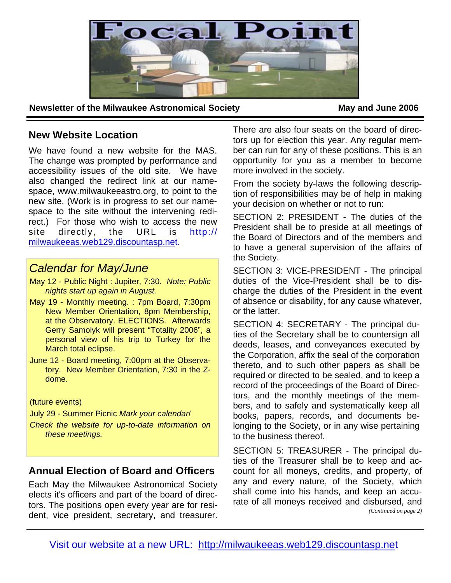

**Newsletter of the Milwaukee Astronomical Society May and June 2006** 

## **New Website Location**

We have found a new website for the MAS. The change was prompted by performance and accessibility issues of the old site. We have also changed the redirect link at our namespace, www.milwaukeeastro.org, to point to the new site. (Work is in progress to set our namespace to the site without the intervening redirect.) For those who wish to access the new site directly, the URL is http:// milwaukeeas.web129.discountasp.net.

# *Calendar for May/June*

- May 12 Public Night : Jupiter, 7:30. *Note: Public nights start up again in August.*
- May 19 Monthly meeting. : 7pm Board, 7:30pm New Member Orientation, 8pm Membership, at the Observatory. ELECTIONS. Afterwards Gerry Samolyk will present "Totality 2006", a personal view of his trip to Turkey for the March total eclipse.
- June 12 Board meeting, 7:00pm at the Observatory. New Member Orientation, 7:30 in the Zdome.

### (future events)

July 29 - Summer Picnic *Mark your calendar!* 

*Check the website for up-to-date information on these meetings.* 

## **Annual Election of Board and Officers**

Each May the Milwaukee Astronomical Society elects it's officers and part of the board of directors. The positions open every year are for resident, vice president, secretary, and treasurer.

There are also four seats on the board of directors up for election this year. Any regular member can run for any of these positions. This is an opportunity for you as a member to become more involved in the society.

From the society by-laws the following description of responsibilities may be of help in making your decision on whether or not to run:

SECTION 2: PRESIDENT - The duties of the President shall be to preside at all meetings of the Board of Directors and of the members and to have a general supervision of the affairs of the Society.

SECTION 3: VICE-PRESIDENT - The principal duties of the Vice-President shall be to discharge the duties of the President in the event of absence or disability, for any cause whatever, or the latter.

SECTION 4: SECRETARY - The principal duties of the Secretary shall be to countersign all deeds, leases, and conveyances executed by the Corporation, affix the seal of the corporation thereto, and to such other papers as shall be required or directed to be sealed, and to keep a record of the proceedings of the Board of Directors, and the monthly meetings of the members, and to safely and systematically keep all books, papers, records, and documents belonging to the Society, or in any wise pertaining to the business thereof.

SECTION 5: TREASURER - The principal duties of the Treasurer shall be to keep and account for all moneys, credits, and property, of any and every nature, of the Society, which shall come into his hands, and keep an accurate of all moneys received and disbursed, and *(Continued on page 2)*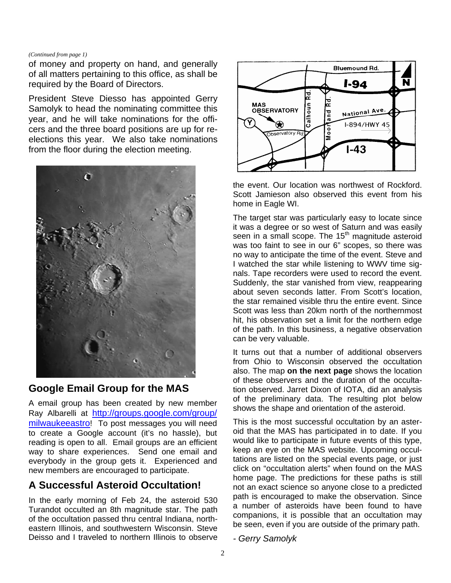#### *(Continued from page 1)*

of money and property on hand, and generally of all matters pertaining to this office, as shall be required by the Board of Directors.

President Steve Diesso has appointed Gerry Samolyk to head the nominating committee this year, and he will take nominations for the officers and the three board positions are up for reelections this year. We also take nominations from the floor during the election meeting.



## **Google Email Group for the MAS**

A email group has been created by new member Ray Albarelli at http://groups.google.com/group/ milwaukeeastro! To post messages you will need to create a Google account (it's no hassle), but reading is open to all. Email groups are an efficient way to share experiences. Send one email and everybody in the group gets it. Experienced and new members are encouraged to participate.

# **A Successful Asteroid Occultation!**

In the early morning of Feb 24, the asteroid 530 Turandot occulted an 8th magnitude star. The path of the occultation passed thru central Indiana, northeastern Illinois, and southwestern Wisconsin. Steve Deisso and I traveled to northern Illinois to observe



the event. Our location was northwest of Rockford. Scott Jamieson also observed this event from his home in Eagle WI.

The target star was particularly easy to locate since it was a degree or so west of Saturn and was easily seen in a small scope. The 15<sup>th</sup> magnitude asteroid was too faint to see in our 6" scopes, so there was no way to anticipate the time of the event. Steve and I watched the star while listening to WWV time signals. Tape recorders were used to record the event. Suddenly, the star vanished from view, reappearing about seven seconds latter. From Scott's location, the star remained visible thru the entire event. Since Scott was less than 20km north of the northernmost hit, his observation set a limit for the northern edge of the path. In this business, a negative observation can be very valuable.

It turns out that a number of additional observers from Ohio to Wisconsin observed the occultation also. The map **on the next page** shows the location of these observers and the duration of the occultation observed. Jarret Dixon of IOTA, did an analysis of the preliminary data. The resulting plot below shows the shape and orientation of the asteroid.

This is the most successful occultation by an asteroid that the MAS has participated in to date. If you would like to participate in future events of this type, keep an eye on the MAS website. Upcoming occultations are listed on the special events page, or just click on "occultation alerts" when found on the MAS home page. The predictions for these paths is still not an exact science so anyone close to a predicted path is encouraged to make the observation. Since a number of asteroids have been found to have companions, it is possible that an occultation may be seen, even if you are outside of the primary path.

*- Gerry Samolyk*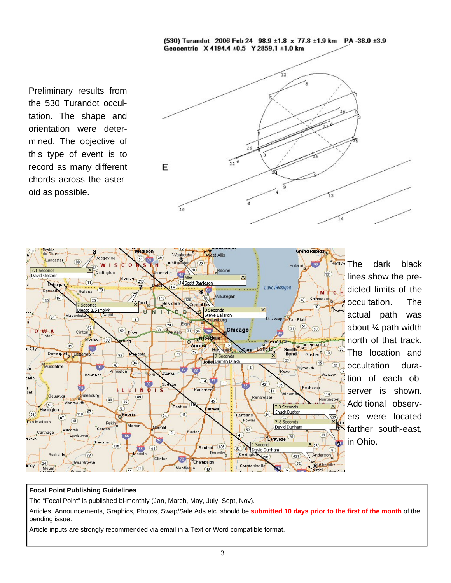(530) Turandot 2006 Feb 24 98.9 ±1.8 x 77.8 ±1.9 km PA -38.0 ±3.9 Geocentric X 4194.4 ±0.5 Y 2859.1 ±1.0 km

Preliminary results from the 530 Turandot occultation. The shape and orientation were determined. The objective of this type of event is to record as many different chords across the asteroid as possible.





**Rentwo** The dark black lines show the predicted limits of the occultation. The actual path was about ¼ path width north of that track. The location and occultation duration of each observer is shown. Additional observers were located farther south-east, in Ohio.

#### **Focal Point Publishing Guidelines**

The "Focal Point" is published bi-monthly (Jan, March, May, July, Sept, Nov).

Articles, Announcements, Graphics, Photos, Swap/Sale Ads etc. should be **submitted 10 days prior to the first of the month** of the pending issue.

Article inputs are strongly recommended via email in a Text or Word compatible format.